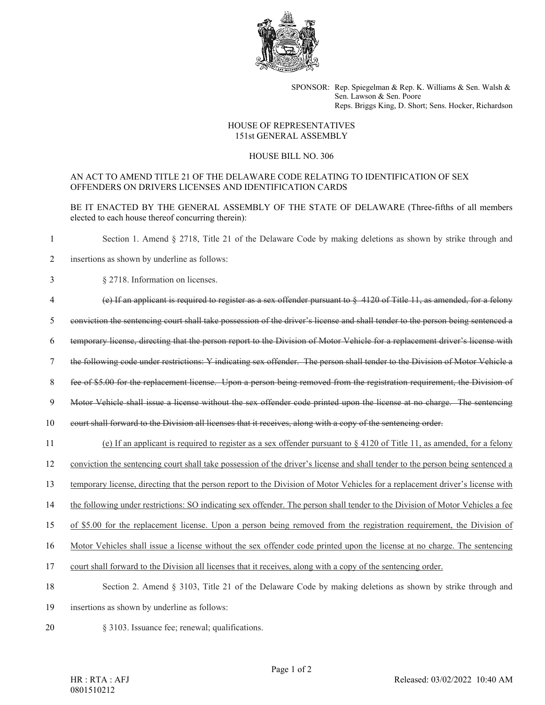

SPONSOR: Rep. Spiegelman & Rep. K. Williams & Sen. Walsh & Sen. Lawson & Sen. Poore Reps. Briggs King, D. Short; Sens. Hocker, Richardson

## HOUSE OF REPRESENTATIVES 151st GENERAL ASSEMBLY

## HOUSE BILL NO. 306

## AN ACT TO AMEND TITLE 21 OF THE DELAWARE CODE RELATING TO IDENTIFICATION OF SEX OFFENDERS ON DRIVERS LICENSES AND IDENTIFICATION CARDS

BE IT ENACTED BY THE GENERAL ASSEMBLY OF THE STATE OF DELAWARE (Three-fifths of all members elected to each house thereof concurring therein):

1 Section 1. Amend § 2718, Title 21 of the Delaware Code by making deletions as shown by strike through and

- 2 insertions as shown by underline as follows:
- 3 § 2718. Information on licenses.
- 4 (e) If an applicant is required to register as a sex offender pursuant to § 4120 of Title 11, as amended, for a felony

5 conviction the sentencing court shall take possession of the driver's license and shall tender to the person being sentenced a

- 6 temporary license, directing that the person report to the Division of Motor Vehicle for a replacement driver's license with
- 7 the following code under restrictions: Y indicating sex offender. The person shall tender to the Division of Motor Vehicle a
- 8 fee of \$5.00 for the replacement license. Upon a person being removed from the registration requirement, the Division of
- 9 Motor Vehicle shall issue a license without the sex offender code printed upon the license at no charge. The sentencing

10 court shall forward to the Division all licenses that it receives, along with a copy of the sentencing order.

- 11 (e) If an applicant is required to register as a sex offender pursuant to § 4120 of Title 11, as amended, for a felony
- 12 conviction the sentencing court shall take possession of the driver's license and shall tender to the person being sentenced a
- 13 temporary license, directing that the person report to the Division of Motor Vehicles for a replacement driver's license with

14 the following under restrictions: SO indicating sex offender. The person shall tender to the Division of Motor Vehicles a fee

15 of \$5.00 for the replacement license. Upon a person being removed from the registration requirement, the Division of

16 Motor Vehicles shall issue a license without the sex offender code printed upon the license at no charge. The sentencing

- 17 court shall forward to the Division all licenses that it receives, along with a copy of the sentencing order.
- 18 Section 2. Amend § 3103, Title 21 of the Delaware Code by making deletions as shown by strike through and
- 19 insertions as shown by underline as follows:
- 20 § 3103. Issuance fee; renewal; qualifications.